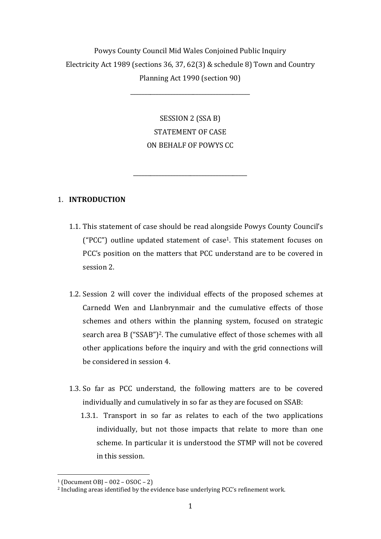Powys County Council Mid Wales Conjoined Public Inquiry Electricity Act 1989 (sections 36, 37, 62(3) & schedule 8) Town and Country Planning Act 1990 (section 90)

\_\_\_\_\_\_\_\_\_\_\_\_\_\_\_\_\_\_\_\_\_\_\_\_\_\_\_\_\_\_\_\_\_\_\_\_\_\_\_\_\_\_

SESSION 2 (SSA B) STATEMENT OF CASE ON BEHALF OF POWYS CC

\_\_\_\_\_\_\_\_\_\_\_\_\_\_\_\_\_\_\_\_\_\_\_\_\_\_\_\_\_\_\_\_\_\_\_\_\_\_\_\_

# 1. **INTRODUCTION**

- 1.1. This statement of case should be read alongside Powys County Council's ("PCC") outline updated statement of case<sup>1</sup>. This statement focuses on PCC's position on the matters that PCC understand are to be covered in session 2.
- 1.2. Session 2 will cover the individual effects of the proposed schemes at Carnedd Wen and Llanbrynmair and the cumulative effects of those schemes and others within the planning system, focused on strategic search area  $B$  ("SSAB")<sup>2</sup>. The cumulative effect of those schemes with all other applications before the inquiry and with the grid connections will be considered in session 4.
- 1.3. So far as PCC understand, the following matters are to be covered individually and cumulatively in so far as they are focused on SSAB:
	- 1.3.1. Transport in so far as relates to each of the two applications individually, but not those impacts that relate to more than one scheme. In particular it is understood the STMP will not be covered in this session.

  $1 (Document OBI - 002 - 0SOC - 2)$ 

 $2$  Including areas identified by the evidence base underlying PCC's refinement work.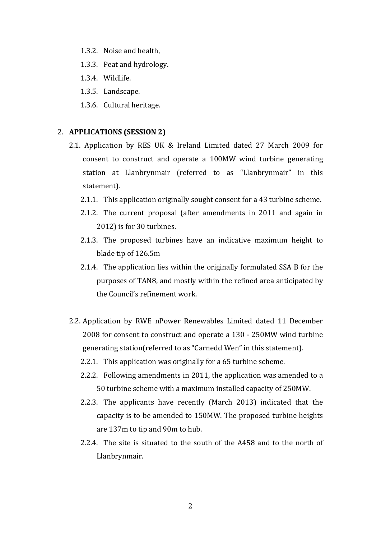- 1.3.2. Noise and health,
- 1.3.3. Peat and hydrology.
- 1.3.4. Wildlife.
- 1.3.5. Landscape.
- 1.3.6. Cultural heritage.

# 2. **APPLICATIONS** (SESSION 2)

- 2.1. Application by RES UK & Ireland Limited dated 27 March 2009 for consent to construct and operate a 100MW wind turbine generating station at Llanbrynmair (referred to as "Llanbrynmair" in this statement).
	- 2.1.1. This application originally sought consent for a 43 turbine scheme.
	- 2.1.2. The current proposal (after amendments in 2011 and again in 2012) is for 30 turbines.
	- 2.1.3. The proposed turbines have an indicative maximum height to blade tip of 126.5m
	- 2.1.4. The application lies within the originally formulated SSA B for the purposes of TAN8, and mostly within the refined area anticipated by the Council's refinement work.
- 2.2. Application by RWE nPower Renewables Limited dated 11 December 2008 for consent to construct and operate a 130 - 250MW wind turbine generating station(referred to as "Carnedd Wen" in this statement).
	- 2.2.1. This application was originally for a 65 turbine scheme.
	- 2.2.2. Following amendments in 2011, the application was amended to a 50 turbine scheme with a maximum installed capacity of 250MW.
	- 2.2.3. The applicants have recently (March 2013) indicated that the capacity is to be amended to 150MW. The proposed turbine heights are 137m to tip and 90m to hub.
	- 2.2.4. The site is situated to the south of the  $A458$  and to the north of Llanbrynmair.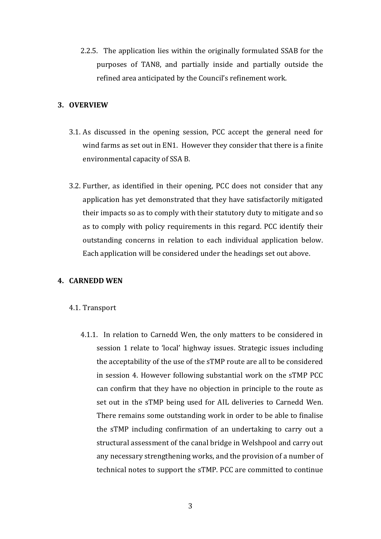2.2.5. The application lies within the originally formulated SSAB for the purposes of TAN8, and partially inside and partially outside the refined area anticipated by the Council's refinement work.

### **3. OVERVIEW**

- 3.1. As discussed in the opening session, PCC accept the general need for wind farms as set out in EN1. However they consider that there is a finite environmental capacity of SSA B.
- 3.2. Further, as identified in their opening, PCC does not consider that any application has yet demonstrated that they have satisfactorily mitigated their impacts so as to comply with their statutory duty to mitigate and so as to comply with policy requirements in this regard. PCC identify their outstanding concerns in relation to each individual application below. Each application will be considered under the headings set out above.

## **4. CARNEDD WEN**

#### 4.1. Transport

4.1.1. In relation to Carnedd Wen, the only matters to be considered in session 1 relate to 'local' highway issues. Strategic issues including the acceptability of the use of the sTMP route are all to be considered in session 4. However following substantial work on the sTMP PCC can confirm that they have no objection in principle to the route as set out in the sTMP being used for AIL deliveries to Carnedd Wen. There remains some outstanding work in order to be able to finalise the sTMP including confirmation of an undertaking to carry out a structural assessment of the canal bridge in Welshpool and carry out any necessary strengthening works, and the provision of a number of technical notes to support the sTMP. PCC are committed to continue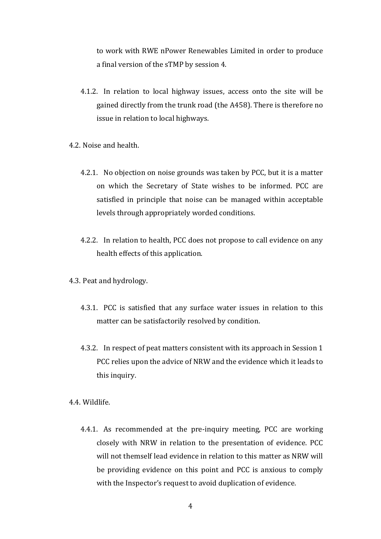to work with RWE nPower Renewables Limited in order to produce a final version of the sTMP by session 4.

- 4.1.2. In relation to local highway issues, access onto the site will be gained directly from the trunk road (the A458). There is therefore no issue in relation to local highways.
- 4.2. Noise and health.
	- 4.2.1. No objection on noise grounds was taken by PCC, but it is a matter on which the Secretary of State wishes to be informed. PCC are satisfied in principle that noise can be managed within acceptable levels through appropriately worded conditions.
	- 4.2.2. In relation to health, PCC does not propose to call evidence on any health effects of this application.
- 4.3. Peat and hydrology.
	- 4.3.1. PCC is satisfied that any surface water issues in relation to this matter can be satisfactorily resolved by condition.
	- 4.3.2. In respect of peat matters consistent with its approach in Session 1 PCC relies upon the advice of NRW and the evidence which it leads to this inquiry.

4.4. Wildlife.

4.4.1. As recommended at the pre-inquiry meeting, PCC are working closely with NRW in relation to the presentation of evidence. PCC will not themself lead evidence in relation to this matter as NRW will be providing evidence on this point and PCC is anxious to comply with the Inspector's request to avoid duplication of evidence.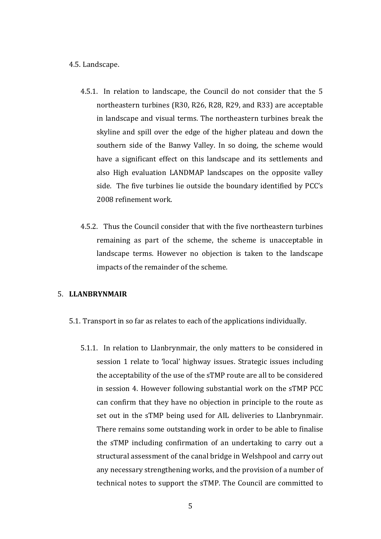#### 4.5. Landscape.

- 4.5.1. In relation to landscape, the Council do not consider that the 5 northeastern turbines (R30, R26, R28, R29, and R33) are acceptable in landscape and visual terms. The northeastern turbines break the skyline and spill over the edge of the higher plateau and down the southern side of the Banwy Valley. In so doing, the scheme would have a significant effect on this landscape and its settlements and also High evaluation LANDMAP landscapes on the opposite valley side. The five turbines lie outside the boundary identified by PCC's 2008 refinement work.
- 4.5.2. Thus the Council consider that with the five northeastern turbines remaining as part of the scheme, the scheme is unacceptable in landscape terms. However no objection is taken to the landscape impacts of the remainder of the scheme.

## 5. **LLANBRYNMAIR**

- 5.1. Transport in so far as relates to each of the applications individually.
	- 5.1.1. In relation to Llanbrynmair, the only matters to be considered in session 1 relate to 'local' highway issues. Strategic issues including the acceptability of the use of the sTMP route are all to be considered in session 4. However following substantial work on the sTMP PCC can confirm that they have no objection in principle to the route as set out in the sTMP being used for AIL deliveries to Llanbrynmair. There remains some outstanding work in order to be able to finalise the sTMP including confirmation of an undertaking to carry out a structural assessment of the canal bridge in Welshpool and carry out any necessary strengthening works, and the provision of a number of technical notes to support the sTMP. The Council are committed to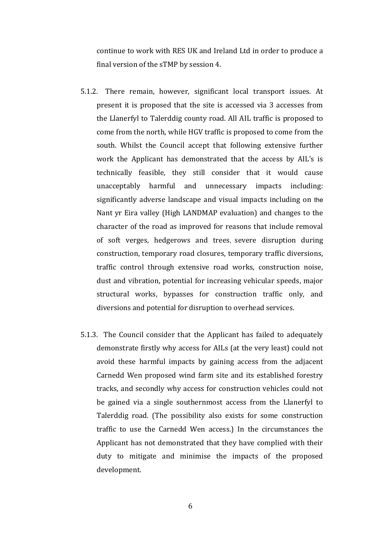continue to work with RES UK and Ireland Ltd in order to produce a final version of the sTMP by session 4.

- 5.1.2. There remain, however, significant local transport issues. At present it is proposed that the site is accessed via 3 accesses from the Llanerfyl to Talerddig county road. All AIL traffic is proposed to come from the north, while HGV traffic is proposed to come from the south. Whilst the Council accept that following extensive further work the Applicant has demonstrated that the access by AIL's is technically feasible, they still consider that it would cause unacceptably harmful and unnecessary impacts including: significantly adverse landscape and visual impacts including on the Nant yr Eira valley (High LANDMAP evaluation) and changes to the character of the road as improved for reasons that include removal of soft verges, hedgerows and trees, severe disruption during construction, temporary road closures, temporary traffic diversions, traffic control through extensive road works, construction noise, dust and vibration, potential for increasing vehicular speeds, major structural works, bypasses for construction traffic only, and diversions and potential for disruption to overhead services.
- 5.1.3. The Council consider that the Applicant has failed to adequately demonstrate firstly why access for AILs (at the very least) could not avoid these harmful impacts by gaining access from the adjacent Carnedd Wen proposed wind farm site and its established forestry tracks, and secondly why access for construction vehicles could not be gained via a single southernmost access from the Llanerfyl to Talerddig road. (The possibility also exists for some construction traffic to use the Carnedd Wen access.) In the circumstances the Applicant has not demonstrated that they have complied with their duty to mitigate and minimise the impacts of the proposed development.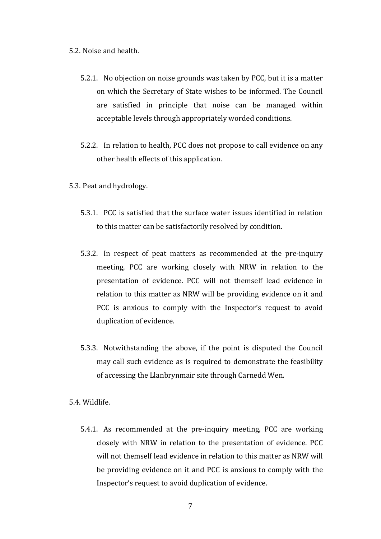5.2. Noise and health.

- 5.2.1. No objection on noise grounds was taken by PCC, but it is a matter on which the Secretary of State wishes to be informed. The Council are satisfied in principle that noise can be managed within acceptable levels through appropriately worded conditions.
- 5.2.2. In relation to health, PCC does not propose to call evidence on any other health effects of this application.
- 5.3. Peat and hydrology.
	- 5.3.1. PCC is satisfied that the surface water issues identified in relation to this matter can be satisfactorily resolved by condition.
	- 5.3.2. In respect of peat matters as recommended at the pre-inquiry meeting, PCC are working closely with NRW in relation to the presentation of evidence. PCC will not themself lead evidence in relation to this matter as NRW will be providing evidence on it and PCC is anxious to comply with the Inspector's request to avoid duplication of evidence.
	- 5.3.3. Notwithstanding the above, if the point is disputed the Council may call such evidence as is required to demonstrate the feasibility of accessing the Llanbrynmair site through Carnedd Wen.

5.4. Wildlife.

5.4.1. As recommended at the pre-inquiry meeting, PCC are working closely with NRW in relation to the presentation of evidence. PCC will not themself lead evidence in relation to this matter as NRW will be providing evidence on it and PCC is anxious to comply with the Inspector's request to avoid duplication of evidence.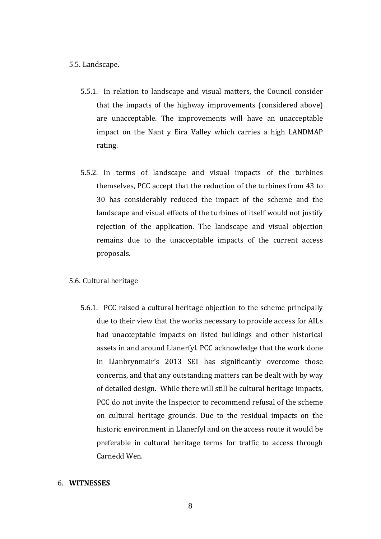5.5. Landscape. 

- 5.5.1. In relation to landscape and visual matters, the Council consider that the impacts of the highway improvements (considered above) are unacceptable. The improvements will have an unacceptable impact on the Nant y Eira Valley which carries a high LANDMAP rating.
- 5.5.2. In terms of landscape and visual impacts of the turbines themselves, PCC accept that the reduction of the turbines from 43 to 30 has considerably reduced the impact of the scheme and the landscape and visual effects of the turbines of itself would not justify rejection of the application. The landscape and visual objection remains due to the unacceptable impacts of the current access proposals.

#### 5.6. Cultural heritage

5.6.1. PCC raised a cultural heritage objection to the scheme principally due to their view that the works necessary to provide access for AILs had unacceptable impacts on listed buildings and other historical assets in and around Llanerfyl. PCC acknowledge that the work done in Llanbrynmair's 2013 SEI has significantly overcome those concerns, and that any outstanding matters can be dealt with by way of detailed design. While there will still be cultural heritage impacts, PCC do not invite the Inspector to recommend refusal of the scheme on cultural heritage grounds. Due to the residual impacts on the historic environment in Llanerfyl and on the access route it would be preferable in cultural heritage terms for traffic to access through Carnedd Wen.

### 6. **WITNESSES**